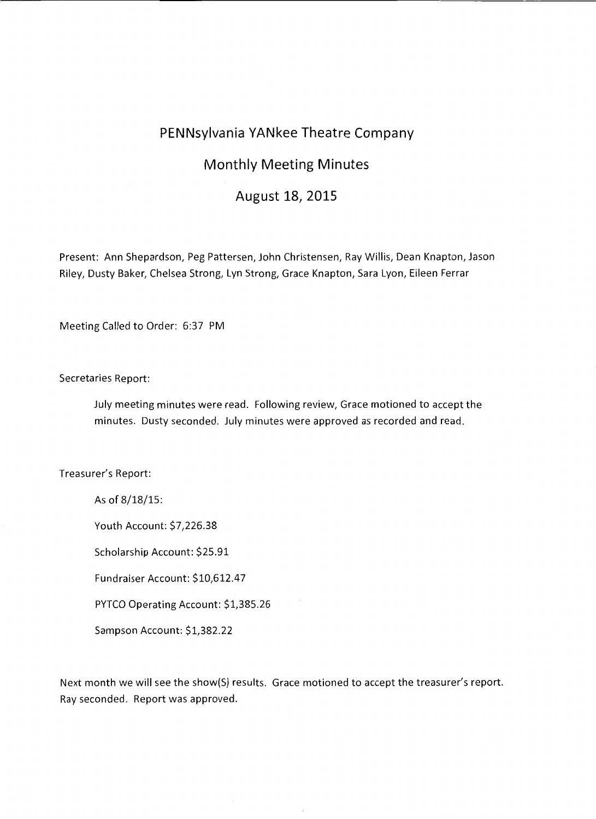## **PENNsylvania YANkee Theatre Company**

## **Monthly Meeting Minutes**

## **August 18, 2015**

Present: Ann Shepardson, Peg Pattersen, John Christensen, Ray Willis, Dean Knapton, Jason Riley, Dusty Baker, Chelsea Strong, Lyn Strong, Grace Knapton, Sara Lyon, Eileen Ferrar

Meeting Called to Order: 6:37 PM

Secretaries Report:

July meeting minutes were read. Following review, Grace motioned to accept the minutes. Dusty seconded. July minutes were approved as recorded and read.

Treasurer's Report:

As of 8/18/15:

Youth Account: \$7,226.38

Scholarship Account: \$25.91

Fundraiser Account: \$10,612.47

PYTCO Operating Account: \$1,385.26

Sampson Account: \$1,382.22

Next month we will see the show(S) results. Grace motioned to accept the treasurer's report. Ray seconded. Report was approved.